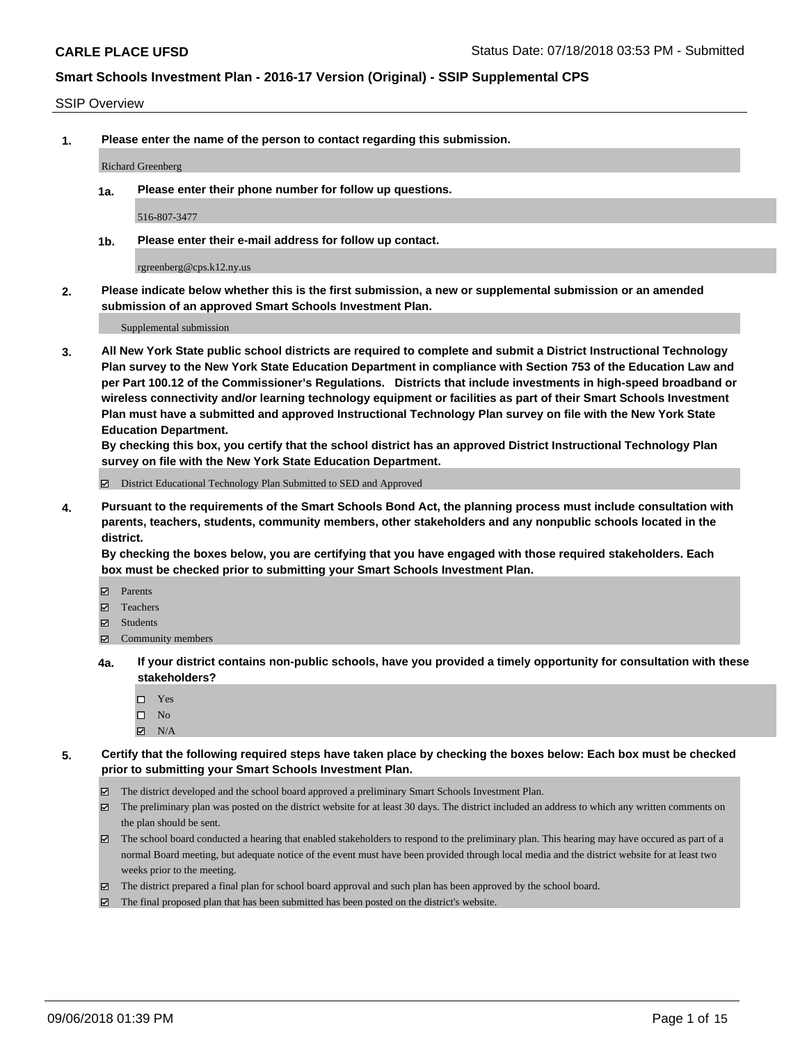#### SSIP Overview

**1. Please enter the name of the person to contact regarding this submission.**

#### Richard Greenberg

**1a. Please enter their phone number for follow up questions.**

516-807-3477

**1b. Please enter their e-mail address for follow up contact.**

rgreenberg@cps.k12.ny.us

**2. Please indicate below whether this is the first submission, a new or supplemental submission or an amended submission of an approved Smart Schools Investment Plan.**

Supplemental submission

**3. All New York State public school districts are required to complete and submit a District Instructional Technology Plan survey to the New York State Education Department in compliance with Section 753 of the Education Law and per Part 100.12 of the Commissioner's Regulations. Districts that include investments in high-speed broadband or wireless connectivity and/or learning technology equipment or facilities as part of their Smart Schools Investment Plan must have a submitted and approved Instructional Technology Plan survey on file with the New York State Education Department.** 

**By checking this box, you certify that the school district has an approved District Instructional Technology Plan survey on file with the New York State Education Department.**

District Educational Technology Plan Submitted to SED and Approved

**4. Pursuant to the requirements of the Smart Schools Bond Act, the planning process must include consultation with parents, teachers, students, community members, other stakeholders and any nonpublic schools located in the district.** 

**By checking the boxes below, you are certifying that you have engaged with those required stakeholders. Each box must be checked prior to submitting your Smart Schools Investment Plan.**

- **Parents**
- Teachers
- **☑** Students
- **☑** Community members
- **4a. If your district contains non-public schools, have you provided a timely opportunity for consultation with these stakeholders?**
	- Yes
	- $\square$  No
	- $\boxtimes$  N/A
- **5. Certify that the following required steps have taken place by checking the boxes below: Each box must be checked prior to submitting your Smart Schools Investment Plan.**
	- The district developed and the school board approved a preliminary Smart Schools Investment Plan.
	- $\boxtimes$  The preliminary plan was posted on the district website for at least 30 days. The district included an address to which any written comments on the plan should be sent.
	- The school board conducted a hearing that enabled stakeholders to respond to the preliminary plan. This hearing may have occured as part of a normal Board meeting, but adequate notice of the event must have been provided through local media and the district website for at least two weeks prior to the meeting.
	- The district prepared a final plan for school board approval and such plan has been approved by the school board.
	- The final proposed plan that has been submitted has been posted on the district's website.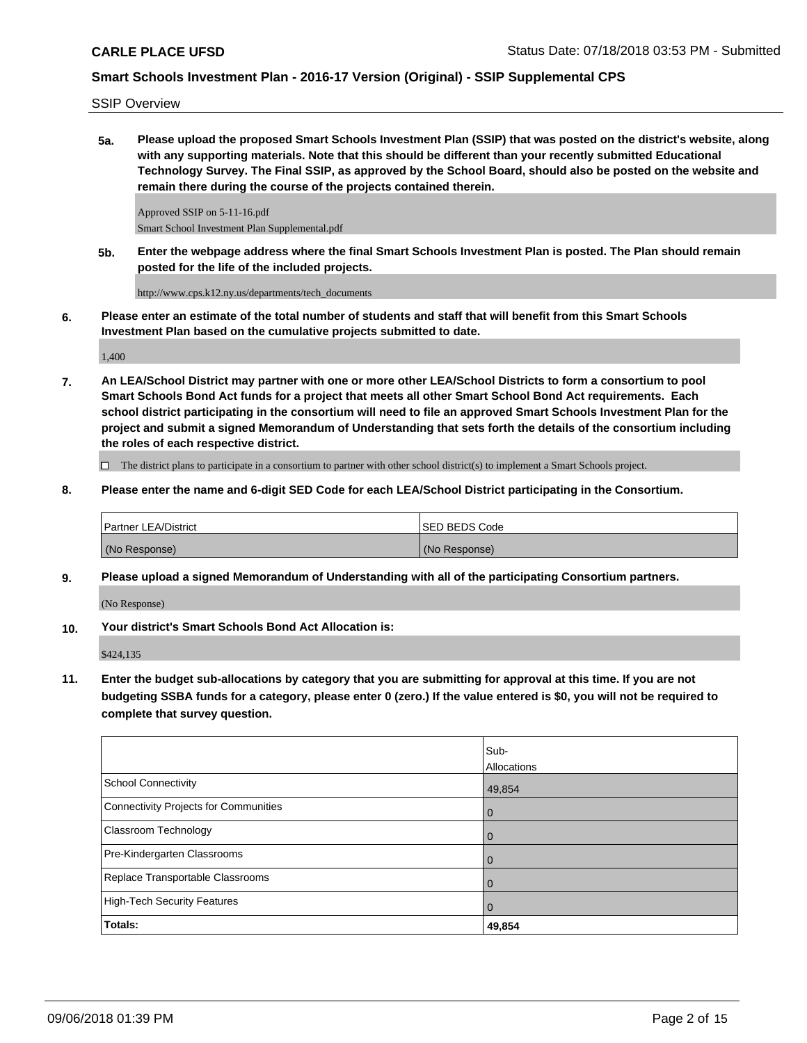SSIP Overview

**5a. Please upload the proposed Smart Schools Investment Plan (SSIP) that was posted on the district's website, along with any supporting materials. Note that this should be different than your recently submitted Educational Technology Survey. The Final SSIP, as approved by the School Board, should also be posted on the website and remain there during the course of the projects contained therein.**

Approved SSIP on 5-11-16.pdf Smart School Investment Plan Supplemental.pdf

**5b. Enter the webpage address where the final Smart Schools Investment Plan is posted. The Plan should remain posted for the life of the included projects.**

http://www.cps.k12.ny.us/departments/tech\_documents

**6. Please enter an estimate of the total number of students and staff that will benefit from this Smart Schools Investment Plan based on the cumulative projects submitted to date.**

1,400

**7. An LEA/School District may partner with one or more other LEA/School Districts to form a consortium to pool Smart Schools Bond Act funds for a project that meets all other Smart School Bond Act requirements. Each school district participating in the consortium will need to file an approved Smart Schools Investment Plan for the project and submit a signed Memorandum of Understanding that sets forth the details of the consortium including the roles of each respective district.**

 $\Box$  The district plans to participate in a consortium to partner with other school district(s) to implement a Smart Schools project.

**8. Please enter the name and 6-digit SED Code for each LEA/School District participating in the Consortium.**

| <b>Partner LEA/District</b> | ISED BEDS Code |
|-----------------------------|----------------|
| (No Response)               | (No Response)  |

**9. Please upload a signed Memorandum of Understanding with all of the participating Consortium partners.**

(No Response)

**10. Your district's Smart Schools Bond Act Allocation is:**

\$424,135

**11. Enter the budget sub-allocations by category that you are submitting for approval at this time. If you are not budgeting SSBA funds for a category, please enter 0 (zero.) If the value entered is \$0, you will not be required to complete that survey question.**

|                                       | Sub-<br>Allocations |
|---------------------------------------|---------------------|
| <b>School Connectivity</b>            | 49,854              |
| Connectivity Projects for Communities | $\overline{0}$      |
| <b>Classroom Technology</b>           | $\overline{0}$      |
| Pre-Kindergarten Classrooms           | 0                   |
| Replace Transportable Classrooms      | $\mathbf 0$         |
| <b>High-Tech Security Features</b>    | $\mathbf 0$         |
| Totals:                               | 49,854              |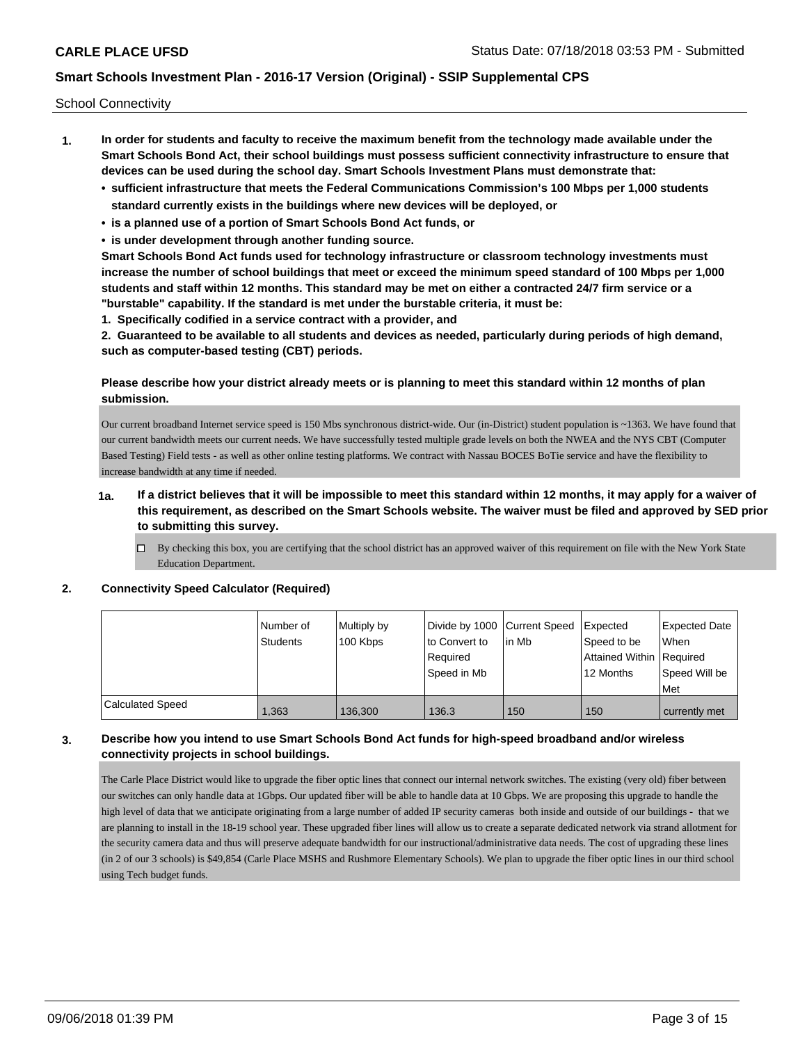School Connectivity

- **1. In order for students and faculty to receive the maximum benefit from the technology made available under the Smart Schools Bond Act, their school buildings must possess sufficient connectivity infrastructure to ensure that devices can be used during the school day. Smart Schools Investment Plans must demonstrate that:**
	- **• sufficient infrastructure that meets the Federal Communications Commission's 100 Mbps per 1,000 students standard currently exists in the buildings where new devices will be deployed, or**
	- **• is a planned use of a portion of Smart Schools Bond Act funds, or**
	- **• is under development through another funding source.**

**Smart Schools Bond Act funds used for technology infrastructure or classroom technology investments must increase the number of school buildings that meet or exceed the minimum speed standard of 100 Mbps per 1,000 students and staff within 12 months. This standard may be met on either a contracted 24/7 firm service or a "burstable" capability. If the standard is met under the burstable criteria, it must be:**

**1. Specifically codified in a service contract with a provider, and**

**2. Guaranteed to be available to all students and devices as needed, particularly during periods of high demand, such as computer-based testing (CBT) periods.**

### **Please describe how your district already meets or is planning to meet this standard within 12 months of plan submission.**

Our current broadband Internet service speed is 150 Mbs synchronous district-wide. Our (in-District) student population is ~1363. We have found that our current bandwidth meets our current needs. We have successfully tested multiple grade levels on both the NWEA and the NYS CBT (Computer Based Testing) Field tests - as well as other online testing platforms. We contract with Nassau BOCES BoTie service and have the flexibility to increase bandwidth at any time if needed.

### **1a. If a district believes that it will be impossible to meet this standard within 12 months, it may apply for a waiver of this requirement, as described on the Smart Schools website. The waiver must be filed and approved by SED prior to submitting this survey.**

 $\Box$  By checking this box, you are certifying that the school district has an approved waiver of this requirement on file with the New York State Education Department.

### **2. Connectivity Speed Calculator (Required)**

|                         | I Number of<br>Students | Multiply by<br>100 Kbps | to Convert to<br>Required<br>Speed in Mb | Divide by 1000 Current Speed Expected<br>lin Mb | Speed to be<br>Attained Within Required<br>12 Months | Expected Date<br>When<br>Speed Will be<br>Met |
|-------------------------|-------------------------|-------------------------|------------------------------------------|-------------------------------------------------|------------------------------------------------------|-----------------------------------------------|
| <b>Calculated Speed</b> | .363                    | 136.300                 | 136.3                                    | 150                                             | 150                                                  | currently met                                 |

### **3. Describe how you intend to use Smart Schools Bond Act funds for high-speed broadband and/or wireless connectivity projects in school buildings.**

The Carle Place District would like to upgrade the fiber optic lines that connect our internal network switches. The existing (very old) fiber between our switches can only handle data at 1Gbps. Our updated fiber will be able to handle data at 10 Gbps. We are proposing this upgrade to handle the high level of data that we anticipate originating from a large number of added IP security cameras both inside and outside of our buildings - that we are planning to install in the 18-19 school year. These upgraded fiber lines will allow us to create a separate dedicated network via strand allotment for the security camera data and thus will preserve adequate bandwidth for our instructional/administrative data needs. The cost of upgrading these lines (in 2 of our 3 schools) is \$49,854 (Carle Place MSHS and Rushmore Elementary Schools). We plan to upgrade the fiber optic lines in our third school using Tech budget funds.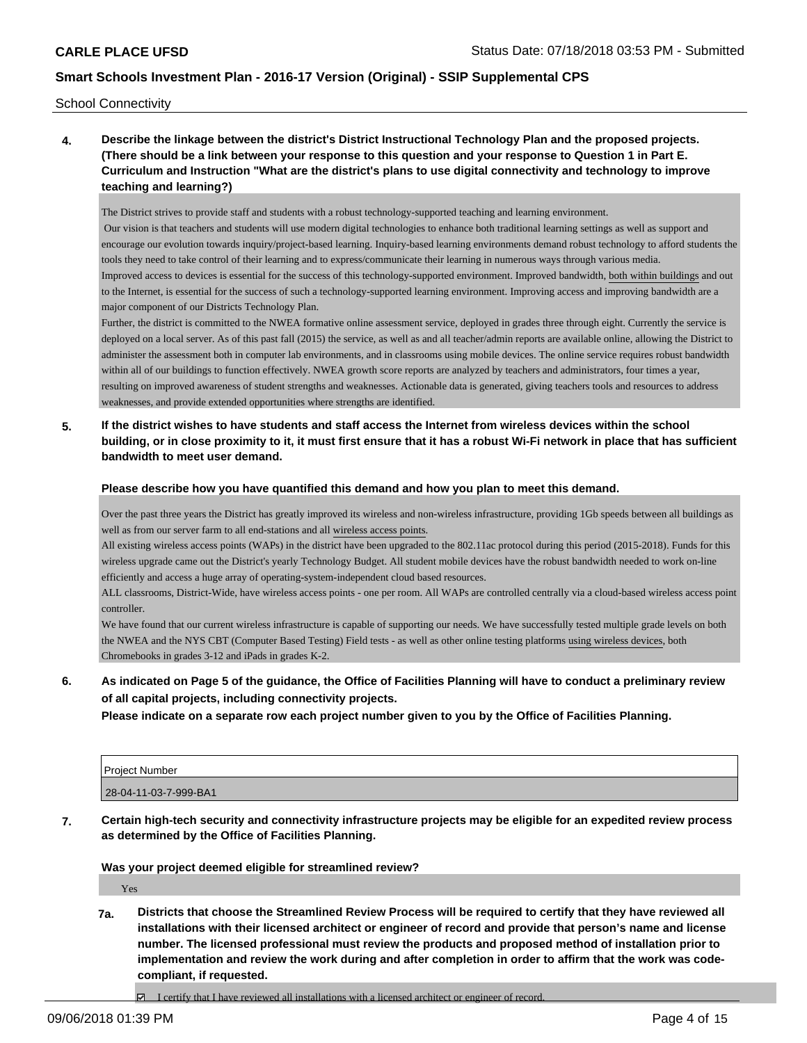School Connectivity

**4. Describe the linkage between the district's District Instructional Technology Plan and the proposed projects. (There should be a link between your response to this question and your response to Question 1 in Part E. Curriculum and Instruction "What are the district's plans to use digital connectivity and technology to improve teaching and learning?)**

The District strives to provide staff and students with a robust technology-supported teaching and learning environment.

 Our vision is that teachers and students will use modern digital technologies to enhance both traditional learning settings as well as support and encourage our evolution towards inquiry/project-based learning. Inquiry-based learning environments demand robust technology to afford students the tools they need to take control of their learning and to express/communicate their learning in numerous ways through various media. Improved access to devices is essential for the success of this technology-supported environment. Improved bandwidth, both within buildings and out to the Internet, is essential for the success of such a technology-supported learning environment. Improving access and improving bandwidth are a major component of our District s Technology Plan.

Further, the district is committed to the NWEA formative online assessment service, deployed in grades three through eight. Currently the service is deployed on a local server. As of this past fall (2015) the service, as well as and all teacher/admin reports are available online, allowing the District to administer the assessment both in computer lab environments, and in classrooms using mobile devices. The online service requires robust bandwidth within all of our buildings to function effectively. NWEA growth score reports are analyzed by teachers and administrators, four times a year, resulting on improved awareness of student strengths and weaknesses. Actionable data is generated, giving teachers tools and resources to address weaknesses, and provide extended opportunities where strengths are identified.

**5. If the district wishes to have students and staff access the Internet from wireless devices within the school building, or in close proximity to it, it must first ensure that it has a robust Wi-Fi network in place that has sufficient bandwidth to meet user demand.**

**Please describe how you have quantified this demand and how you plan to meet this demand.**

Over the past three years the District has greatly improved its wireless and non-wireless infrastructure, providing 1Gb speeds between all buildings as well as from our server farm to all end-stations and all wireless access points.

All existing wireless access points (WAPs) in the district have been upgraded to the 802.11ac protocol during this period (2015-2018). Funds for this wireless upgrade came out the District's yearly Technology Budget. All student mobile devices have the robust bandwidth needed to work on-line efficiently and access a huge array of operating-system-independent cloud based resources.

ALL classrooms, District-Wide, have wireless access points - one per room. All WAPs are controlled centrally via a cloud-based wireless access point controller.

We have found that our current wireless infrastructure is capable of supporting our needs. We have successfully tested multiple grade levels on both the NWEA and the NYS CBT (Computer Based Testing) Field tests - as well as other online testing platforms using wireless devices, both Chromebooks in grades 3-12 and iPads in grades K-2.

**6. As indicated on Page 5 of the guidance, the Office of Facilities Planning will have to conduct a preliminary review of all capital projects, including connectivity projects.**

**Please indicate on a separate row each project number given to you by the Office of Facilities Planning.**

| Project Number        |  |
|-----------------------|--|
| 28-04-11-03-7-999-BA1 |  |

**7. Certain high-tech security and connectivity infrastructure projects may be eligible for an expedited review process as determined by the Office of Facilities Planning.**

**Was your project deemed eligible for streamlined review?**

Yes

- **7a. Districts that choose the Streamlined Review Process will be required to certify that they have reviewed all installations with their licensed architect or engineer of record and provide that person's name and license number. The licensed professional must review the products and proposed method of installation prior to implementation and review the work during and after completion in order to affirm that the work was codecompliant, if requested.**
	- $\Box$  I certify that I have reviewed all installations with a licensed architect or engineer of record.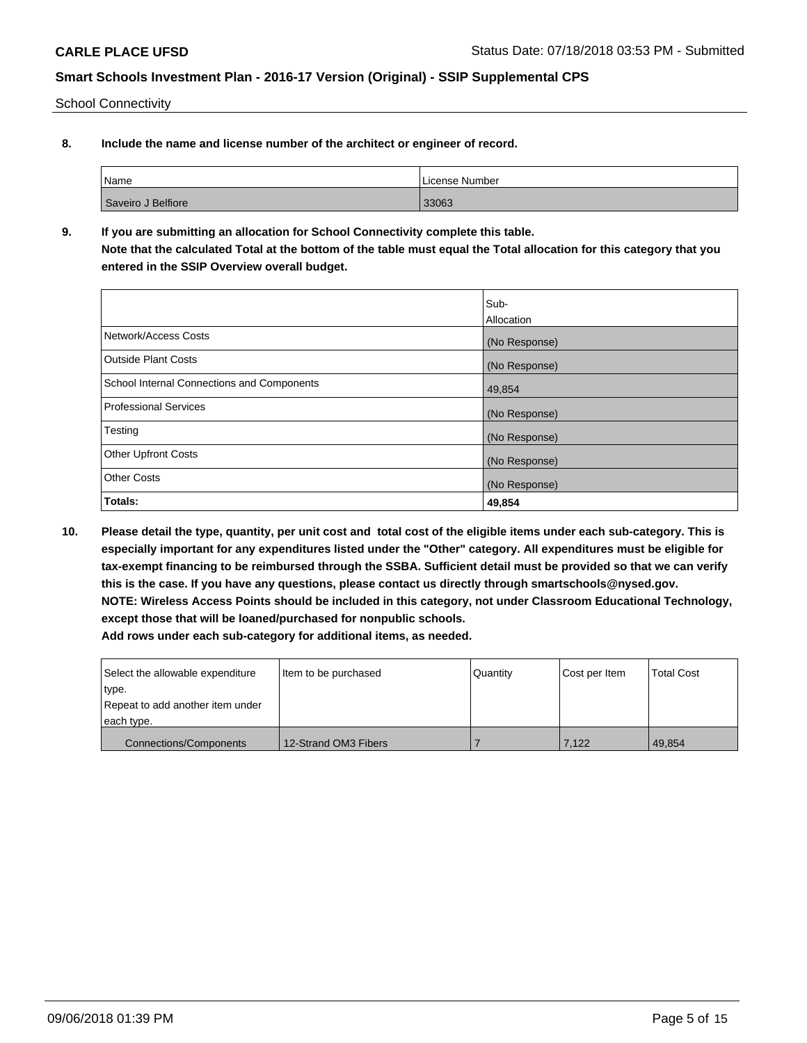School Connectivity

**8. Include the name and license number of the architect or engineer of record.**

| Name               | License Number |
|--------------------|----------------|
| Saveiro J Belfiore | 33063          |

**9. If you are submitting an allocation for School Connectivity complete this table. Note that the calculated Total at the bottom of the table must equal the Total allocation for this category that you entered in the SSIP Overview overall budget.** 

|                                                   | Sub-<br><b>Allocation</b> |
|---------------------------------------------------|---------------------------|
| Network/Access Costs                              | (No Response)             |
| <b>Outside Plant Costs</b>                        | (No Response)             |
| <b>School Internal Connections and Components</b> | 49,854                    |
| <b>Professional Services</b>                      | (No Response)             |
| Testing                                           | (No Response)             |
| <b>Other Upfront Costs</b>                        | (No Response)             |
| <b>Other Costs</b>                                | (No Response)             |
| Totals:                                           | 49,854                    |

**10. Please detail the type, quantity, per unit cost and total cost of the eligible items under each sub-category. This is especially important for any expenditures listed under the "Other" category. All expenditures must be eligible for tax-exempt financing to be reimbursed through the SSBA. Sufficient detail must be provided so that we can verify this is the case. If you have any questions, please contact us directly through smartschools@nysed.gov. NOTE: Wireless Access Points should be included in this category, not under Classroom Educational Technology, except those that will be loaned/purchased for nonpublic schools. Add rows under each sub-category for additional items, as needed.**

| Select the allowable expenditure | Item to be purchased | Quantity | Cost per Item | <b>Total Cost</b> |
|----------------------------------|----------------------|----------|---------------|-------------------|
| type.                            |                      |          |               |                   |
| Repeat to add another item under |                      |          |               |                   |
| each type.                       |                      |          |               |                   |
| <b>Connections/Components</b>    | 12-Strand OM3 Fibers |          | 7.122         | 49.854            |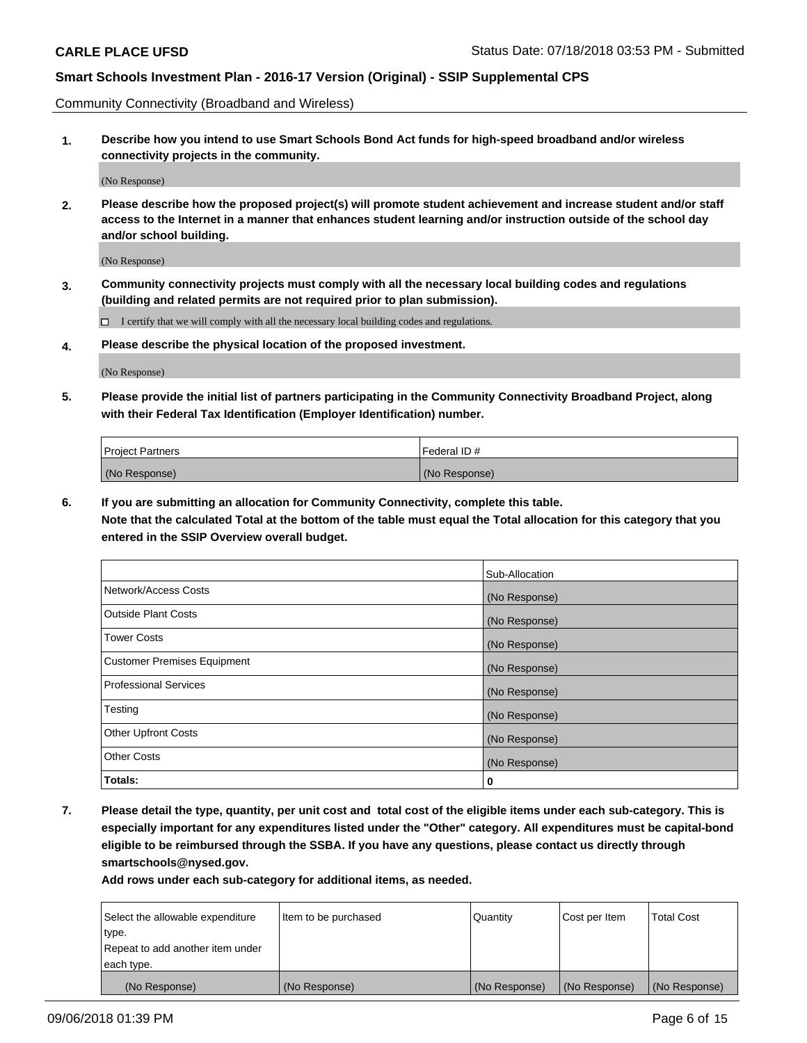Community Connectivity (Broadband and Wireless)

**1. Describe how you intend to use Smart Schools Bond Act funds for high-speed broadband and/or wireless connectivity projects in the community.**

(No Response)

**2. Please describe how the proposed project(s) will promote student achievement and increase student and/or staff access to the Internet in a manner that enhances student learning and/or instruction outside of the school day and/or school building.**

(No Response)

**3. Community connectivity projects must comply with all the necessary local building codes and regulations (building and related permits are not required prior to plan submission).**

 $\Box$  I certify that we will comply with all the necessary local building codes and regulations.

**4. Please describe the physical location of the proposed investment.**

(No Response)

**5. Please provide the initial list of partners participating in the Community Connectivity Broadband Project, along with their Federal Tax Identification (Employer Identification) number.**

| <b>Project Partners</b> | l Federal ID # |
|-------------------------|----------------|
| (No Response)           | (No Response)  |

**6. If you are submitting an allocation for Community Connectivity, complete this table.**

**Note that the calculated Total at the bottom of the table must equal the Total allocation for this category that you entered in the SSIP Overview overall budget.**

|                                    | Sub-Allocation |
|------------------------------------|----------------|
| Network/Access Costs               | (No Response)  |
| <b>Outside Plant Costs</b>         | (No Response)  |
| <b>Tower Costs</b>                 | (No Response)  |
| <b>Customer Premises Equipment</b> | (No Response)  |
| <b>Professional Services</b>       | (No Response)  |
| Testing                            | (No Response)  |
| <b>Other Upfront Costs</b>         | (No Response)  |
| <b>Other Costs</b>                 | (No Response)  |
| Totals:                            | 0              |

**7. Please detail the type, quantity, per unit cost and total cost of the eligible items under each sub-category. This is especially important for any expenditures listed under the "Other" category. All expenditures must be capital-bond eligible to be reimbursed through the SSBA. If you have any questions, please contact us directly through smartschools@nysed.gov.**

| Select the allowable expenditure | Item to be purchased | Quantity      | Cost per Item | <b>Total Cost</b> |
|----------------------------------|----------------------|---------------|---------------|-------------------|
| type.                            |                      |               |               |                   |
| Repeat to add another item under |                      |               |               |                   |
| each type.                       |                      |               |               |                   |
| (No Response)                    | (No Response)        | (No Response) | (No Response) | (No Response)     |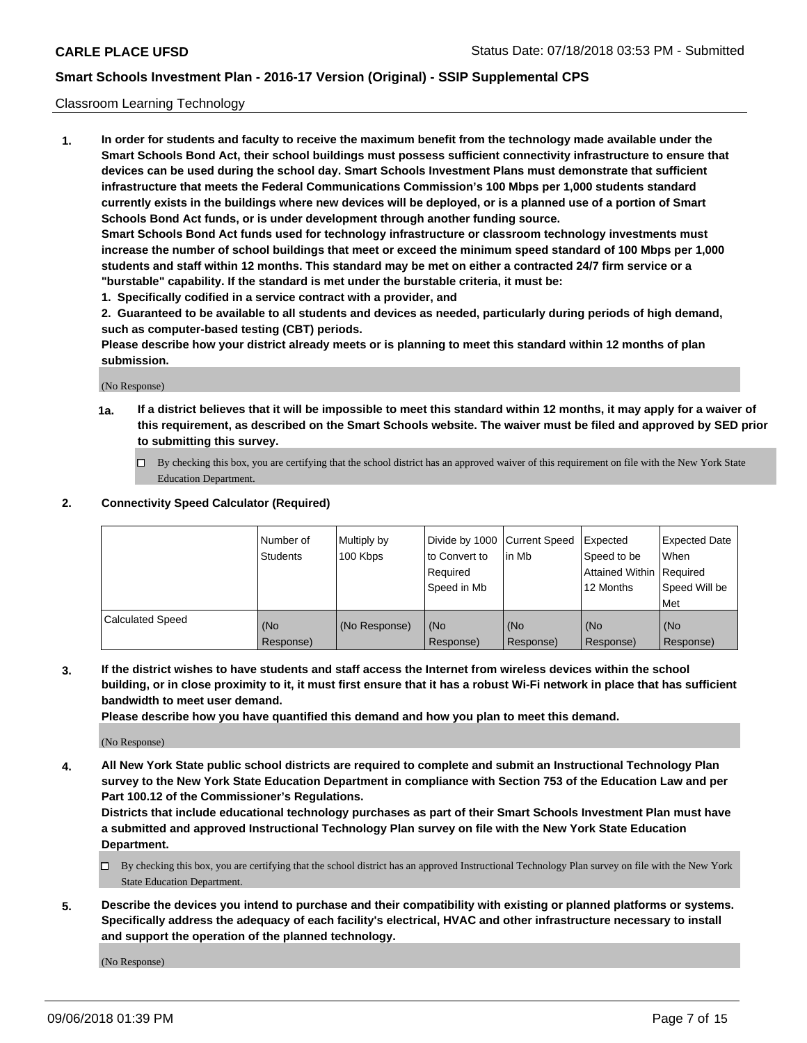### Classroom Learning Technology

**1. In order for students and faculty to receive the maximum benefit from the technology made available under the Smart Schools Bond Act, their school buildings must possess sufficient connectivity infrastructure to ensure that devices can be used during the school day. Smart Schools Investment Plans must demonstrate that sufficient infrastructure that meets the Federal Communications Commission's 100 Mbps per 1,000 students standard currently exists in the buildings where new devices will be deployed, or is a planned use of a portion of Smart Schools Bond Act funds, or is under development through another funding source. Smart Schools Bond Act funds used for technology infrastructure or classroom technology investments must increase the number of school buildings that meet or exceed the minimum speed standard of 100 Mbps per 1,000 students and staff within 12 months. This standard may be met on either a contracted 24/7 firm service or a**

**"burstable" capability. If the standard is met under the burstable criteria, it must be:**

**1. Specifically codified in a service contract with a provider, and**

**2. Guaranteed to be available to all students and devices as needed, particularly during periods of high demand, such as computer-based testing (CBT) periods.**

**Please describe how your district already meets or is planning to meet this standard within 12 months of plan submission.**

(No Response)

- **1a. If a district believes that it will be impossible to meet this standard within 12 months, it may apply for a waiver of this requirement, as described on the Smart Schools website. The waiver must be filed and approved by SED prior to submitting this survey.**
	- By checking this box, you are certifying that the school district has an approved waiver of this requirement on file with the New York State Education Department.

#### **2. Connectivity Speed Calculator (Required)**

|                         | l Number of<br>Students | Multiply by<br>100 Kbps | to Convert to<br>Required<br>Speed in Mb | Divide by 1000 Current Speed Expected<br>lin Mb | Speed to be<br>Attained Within Required<br>12 Months | <b>Expected Date</b><br>When<br>Speed Will be<br>Met |
|-------------------------|-------------------------|-------------------------|------------------------------------------|-------------------------------------------------|------------------------------------------------------|------------------------------------------------------|
| <b>Calculated Speed</b> | (No<br>Response)        | (No Response)           | (No<br>Response)                         | (No<br>Response)                                | (No<br>Response)                                     | (No<br>Response)                                     |

**3. If the district wishes to have students and staff access the Internet from wireless devices within the school building, or in close proximity to it, it must first ensure that it has a robust Wi-Fi network in place that has sufficient bandwidth to meet user demand.**

**Please describe how you have quantified this demand and how you plan to meet this demand.**

(No Response)

**4. All New York State public school districts are required to complete and submit an Instructional Technology Plan survey to the New York State Education Department in compliance with Section 753 of the Education Law and per Part 100.12 of the Commissioner's Regulations.**

**Districts that include educational technology purchases as part of their Smart Schools Investment Plan must have a submitted and approved Instructional Technology Plan survey on file with the New York State Education Department.**

- $\Box$  By checking this box, you are certifying that the school district has an approved Instructional Technology Plan survey on file with the New York State Education Department.
- **5. Describe the devices you intend to purchase and their compatibility with existing or planned platforms or systems. Specifically address the adequacy of each facility's electrical, HVAC and other infrastructure necessary to install and support the operation of the planned technology.**

(No Response)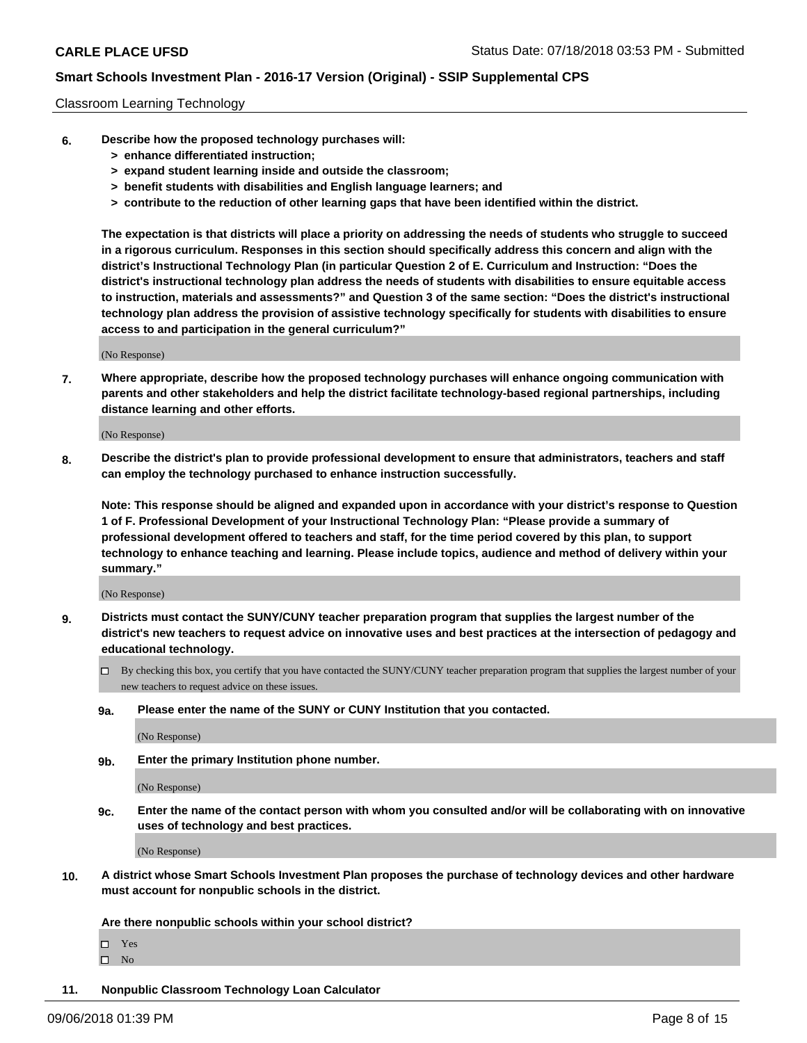#### Classroom Learning Technology

- **6. Describe how the proposed technology purchases will:**
	- **> enhance differentiated instruction;**
	- **> expand student learning inside and outside the classroom;**
	- **> benefit students with disabilities and English language learners; and**
	- **> contribute to the reduction of other learning gaps that have been identified within the district.**

**The expectation is that districts will place a priority on addressing the needs of students who struggle to succeed in a rigorous curriculum. Responses in this section should specifically address this concern and align with the district's Instructional Technology Plan (in particular Question 2 of E. Curriculum and Instruction: "Does the district's instructional technology plan address the needs of students with disabilities to ensure equitable access to instruction, materials and assessments?" and Question 3 of the same section: "Does the district's instructional technology plan address the provision of assistive technology specifically for students with disabilities to ensure access to and participation in the general curriculum?"**

(No Response)

**7. Where appropriate, describe how the proposed technology purchases will enhance ongoing communication with parents and other stakeholders and help the district facilitate technology-based regional partnerships, including distance learning and other efforts.**

(No Response)

**8. Describe the district's plan to provide professional development to ensure that administrators, teachers and staff can employ the technology purchased to enhance instruction successfully.**

**Note: This response should be aligned and expanded upon in accordance with your district's response to Question 1 of F. Professional Development of your Instructional Technology Plan: "Please provide a summary of professional development offered to teachers and staff, for the time period covered by this plan, to support technology to enhance teaching and learning. Please include topics, audience and method of delivery within your summary."**

(No Response)

- **9. Districts must contact the SUNY/CUNY teacher preparation program that supplies the largest number of the district's new teachers to request advice on innovative uses and best practices at the intersection of pedagogy and educational technology.**
	- By checking this box, you certify that you have contacted the SUNY/CUNY teacher preparation program that supplies the largest number of your new teachers to request advice on these issues.
	- **9a. Please enter the name of the SUNY or CUNY Institution that you contacted.**

(No Response)

**9b. Enter the primary Institution phone number.**

(No Response)

**9c. Enter the name of the contact person with whom you consulted and/or will be collaborating with on innovative uses of technology and best practices.**

(No Response)

**10. A district whose Smart Schools Investment Plan proposes the purchase of technology devices and other hardware must account for nonpublic schools in the district.**

**Are there nonpublic schools within your school district?**

Yes

 $\square$  No

**11. Nonpublic Classroom Technology Loan Calculator**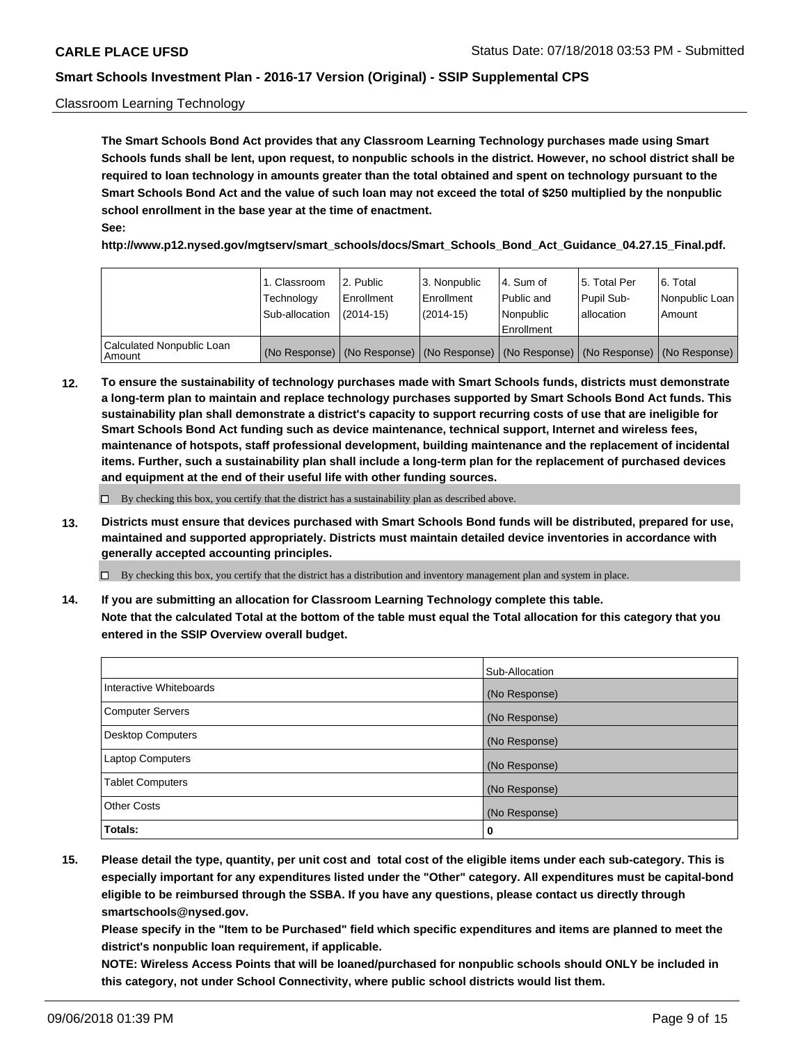### Classroom Learning Technology

**The Smart Schools Bond Act provides that any Classroom Learning Technology purchases made using Smart Schools funds shall be lent, upon request, to nonpublic schools in the district. However, no school district shall be required to loan technology in amounts greater than the total obtained and spent on technology pursuant to the Smart Schools Bond Act and the value of such loan may not exceed the total of \$250 multiplied by the nonpublic school enrollment in the base year at the time of enactment. See:**

**http://www.p12.nysed.gov/mgtserv/smart\_schools/docs/Smart\_Schools\_Bond\_Act\_Guidance\_04.27.15\_Final.pdf.**

|                                       | 1. Classroom<br>Technology<br>Sub-allocation | l 2. Public<br>Enrollment<br>$(2014-15)$ | 3. Nonpublic<br>l Enrollment<br>$(2014-15)$ | l 4. Sum of<br>Public and<br>l Nonpublic<br>Enrollment                                        | l 5. Total Per<br>Pupil Sub-<br>l allocation | l 6. Total<br>Nonpublic Loan<br>Amount |
|---------------------------------------|----------------------------------------------|------------------------------------------|---------------------------------------------|-----------------------------------------------------------------------------------------------|----------------------------------------------|----------------------------------------|
| Calculated Nonpublic Loan<br>l Amount |                                              |                                          |                                             | (No Response)   (No Response)   (No Response)   (No Response)   (No Response)   (No Response) |                                              |                                        |

**12. To ensure the sustainability of technology purchases made with Smart Schools funds, districts must demonstrate a long-term plan to maintain and replace technology purchases supported by Smart Schools Bond Act funds. This sustainability plan shall demonstrate a district's capacity to support recurring costs of use that are ineligible for Smart Schools Bond Act funding such as device maintenance, technical support, Internet and wireless fees, maintenance of hotspots, staff professional development, building maintenance and the replacement of incidental items. Further, such a sustainability plan shall include a long-term plan for the replacement of purchased devices and equipment at the end of their useful life with other funding sources.**

 $\Box$  By checking this box, you certify that the district has a sustainability plan as described above.

**13. Districts must ensure that devices purchased with Smart Schools Bond funds will be distributed, prepared for use, maintained and supported appropriately. Districts must maintain detailed device inventories in accordance with generally accepted accounting principles.**

By checking this box, you certify that the district has a distribution and inventory management plan and system in place.

**14. If you are submitting an allocation for Classroom Learning Technology complete this table. Note that the calculated Total at the bottom of the table must equal the Total allocation for this category that you entered in the SSIP Overview overall budget.**

|                          | Sub-Allocation |
|--------------------------|----------------|
| Interactive Whiteboards  | (No Response)  |
| <b>Computer Servers</b>  | (No Response)  |
| <b>Desktop Computers</b> | (No Response)  |
| <b>Laptop Computers</b>  | (No Response)  |
| <b>Tablet Computers</b>  | (No Response)  |
| <b>Other Costs</b>       | (No Response)  |
| Totals:                  | 0              |

**15. Please detail the type, quantity, per unit cost and total cost of the eligible items under each sub-category. This is especially important for any expenditures listed under the "Other" category. All expenditures must be capital-bond eligible to be reimbursed through the SSBA. If you have any questions, please contact us directly through smartschools@nysed.gov.**

**Please specify in the "Item to be Purchased" field which specific expenditures and items are planned to meet the district's nonpublic loan requirement, if applicable.**

**NOTE: Wireless Access Points that will be loaned/purchased for nonpublic schools should ONLY be included in this category, not under School Connectivity, where public school districts would list them.**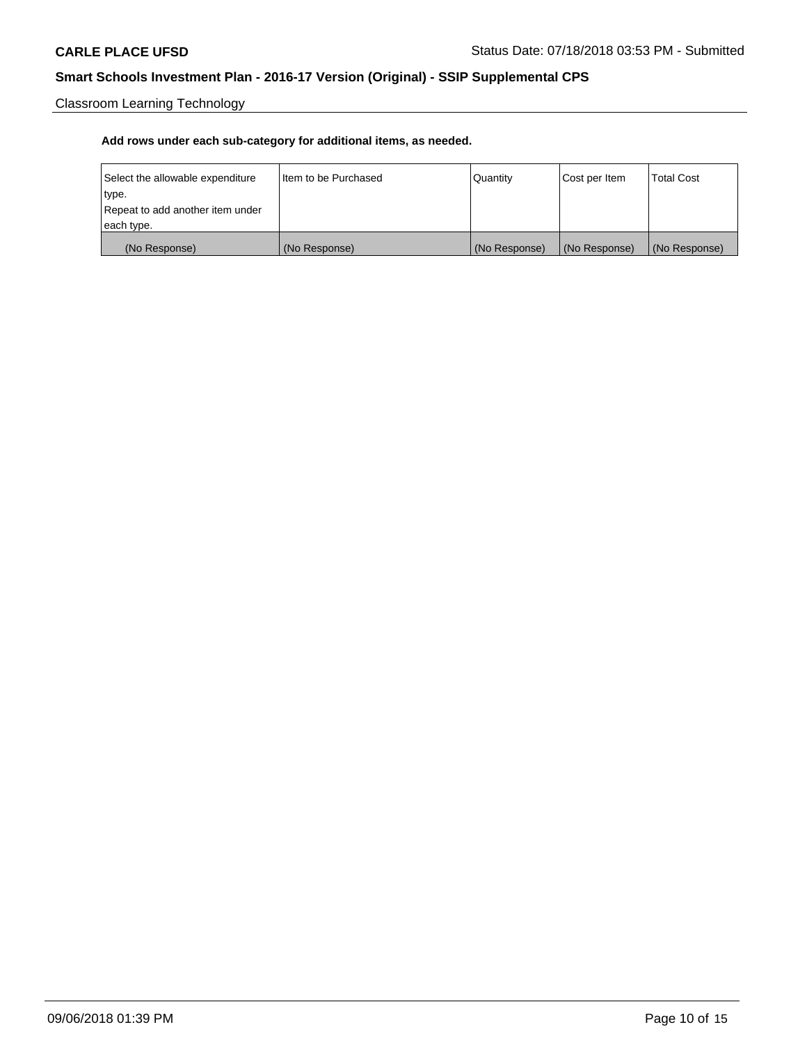Classroom Learning Technology

| Select the allowable expenditure | Iltem to be Purchased | Quantity      | Cost per Item | <b>Total Cost</b> |
|----------------------------------|-----------------------|---------------|---------------|-------------------|
| type.                            |                       |               |               |                   |
| Repeat to add another item under |                       |               |               |                   |
| each type.                       |                       |               |               |                   |
| (No Response)                    | (No Response)         | (No Response) | (No Response) | (No Response)     |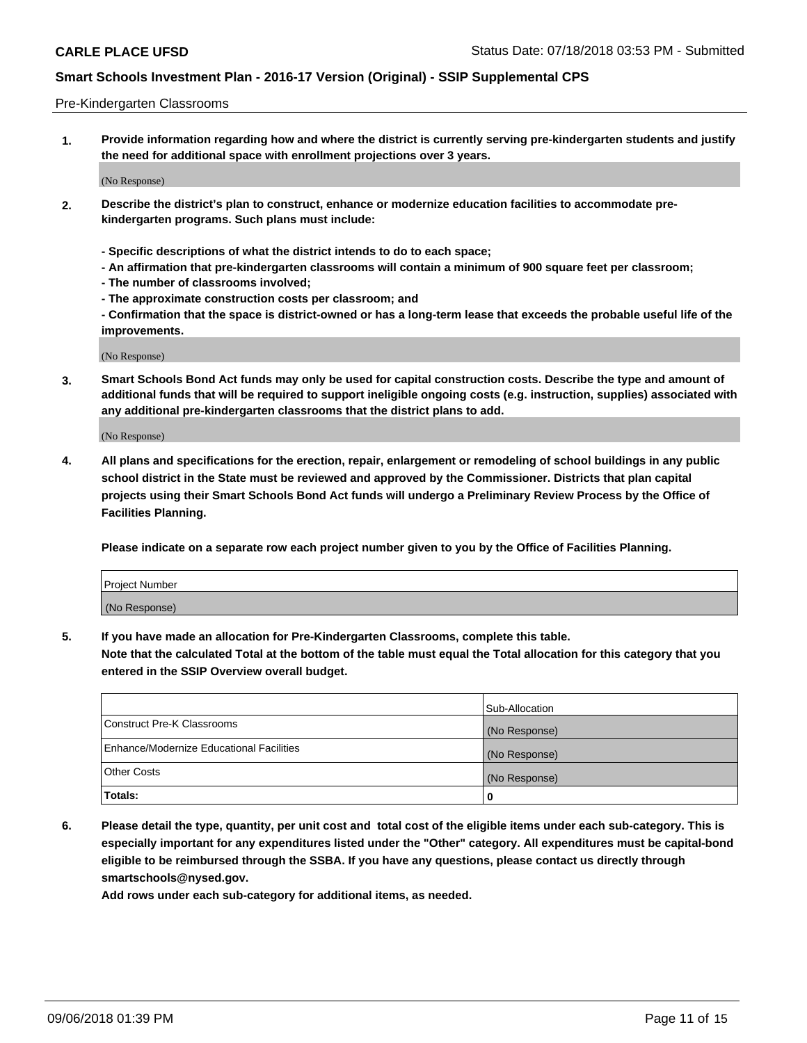#### Pre-Kindergarten Classrooms

**1. Provide information regarding how and where the district is currently serving pre-kindergarten students and justify the need for additional space with enrollment projections over 3 years.**

(No Response)

- **2. Describe the district's plan to construct, enhance or modernize education facilities to accommodate prekindergarten programs. Such plans must include:**
	- **Specific descriptions of what the district intends to do to each space;**
	- **An affirmation that pre-kindergarten classrooms will contain a minimum of 900 square feet per classroom;**
	- **The number of classrooms involved;**
	- **The approximate construction costs per classroom; and**
	- **Confirmation that the space is district-owned or has a long-term lease that exceeds the probable useful life of the improvements.**

(No Response)

**3. Smart Schools Bond Act funds may only be used for capital construction costs. Describe the type and amount of additional funds that will be required to support ineligible ongoing costs (e.g. instruction, supplies) associated with any additional pre-kindergarten classrooms that the district plans to add.**

(No Response)

**4. All plans and specifications for the erection, repair, enlargement or remodeling of school buildings in any public school district in the State must be reviewed and approved by the Commissioner. Districts that plan capital projects using their Smart Schools Bond Act funds will undergo a Preliminary Review Process by the Office of Facilities Planning.**

**Please indicate on a separate row each project number given to you by the Office of Facilities Planning.**

| Project Number |  |
|----------------|--|
| (No Response)  |  |
|                |  |

**5. If you have made an allocation for Pre-Kindergarten Classrooms, complete this table.**

**Note that the calculated Total at the bottom of the table must equal the Total allocation for this category that you entered in the SSIP Overview overall budget.**

|                                          | Sub-Allocation |
|------------------------------------------|----------------|
| Construct Pre-K Classrooms               | (No Response)  |
| Enhance/Modernize Educational Facilities | (No Response)  |
| <b>Other Costs</b>                       | (No Response)  |
| Totals:                                  | 0              |

**6. Please detail the type, quantity, per unit cost and total cost of the eligible items under each sub-category. This is especially important for any expenditures listed under the "Other" category. All expenditures must be capital-bond eligible to be reimbursed through the SSBA. If you have any questions, please contact us directly through smartschools@nysed.gov.**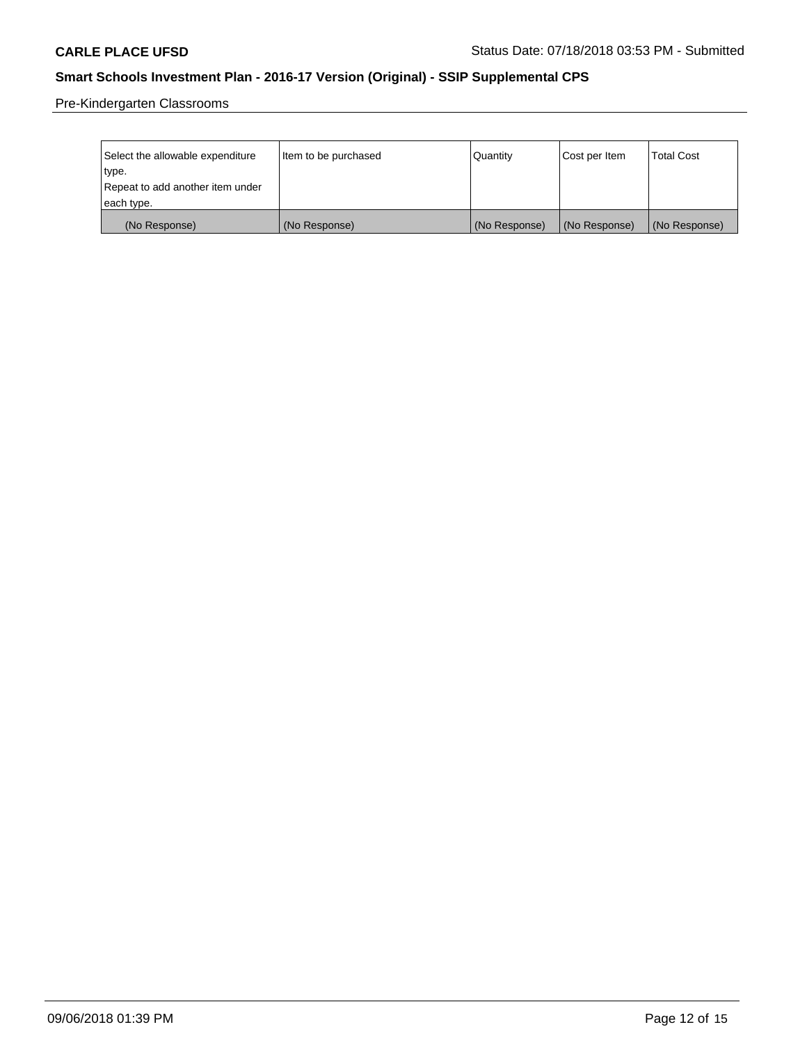Pre-Kindergarten Classrooms

| Select the allowable expenditure | Item to be purchased | Quantity      | Cost per Item | <b>Total Cost</b> |
|----------------------------------|----------------------|---------------|---------------|-------------------|
| type.                            |                      |               |               |                   |
| Repeat to add another item under |                      |               |               |                   |
| each type.                       |                      |               |               |                   |
| (No Response)                    | (No Response)        | (No Response) | (No Response) | (No Response)     |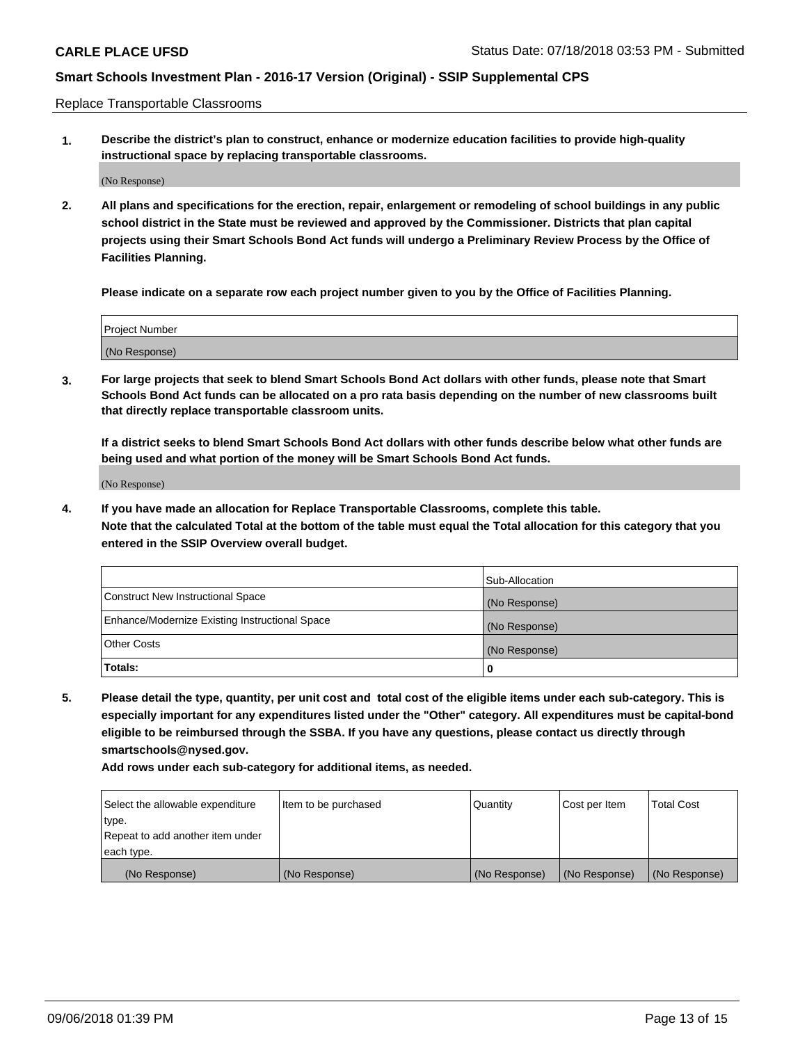Replace Transportable Classrooms

**1. Describe the district's plan to construct, enhance or modernize education facilities to provide high-quality instructional space by replacing transportable classrooms.**

(No Response)

**2. All plans and specifications for the erection, repair, enlargement or remodeling of school buildings in any public school district in the State must be reviewed and approved by the Commissioner. Districts that plan capital projects using their Smart Schools Bond Act funds will undergo a Preliminary Review Process by the Office of Facilities Planning.**

**Please indicate on a separate row each project number given to you by the Office of Facilities Planning.**

| Project Number |  |
|----------------|--|
|                |  |
|                |  |
|                |  |
|                |  |
| (No Response)  |  |
|                |  |
|                |  |
|                |  |

**3. For large projects that seek to blend Smart Schools Bond Act dollars with other funds, please note that Smart Schools Bond Act funds can be allocated on a pro rata basis depending on the number of new classrooms built that directly replace transportable classroom units.**

**If a district seeks to blend Smart Schools Bond Act dollars with other funds describe below what other funds are being used and what portion of the money will be Smart Schools Bond Act funds.**

(No Response)

**4. If you have made an allocation for Replace Transportable Classrooms, complete this table. Note that the calculated Total at the bottom of the table must equal the Total allocation for this category that you entered in the SSIP Overview overall budget.**

|                                                | Sub-Allocation |
|------------------------------------------------|----------------|
| Construct New Instructional Space              | (No Response)  |
| Enhance/Modernize Existing Instructional Space | (No Response)  |
| <b>Other Costs</b>                             | (No Response)  |
| Totals:                                        | 0              |

**5. Please detail the type, quantity, per unit cost and total cost of the eligible items under each sub-category. This is especially important for any expenditures listed under the "Other" category. All expenditures must be capital-bond eligible to be reimbursed through the SSBA. If you have any questions, please contact us directly through smartschools@nysed.gov.**

| Select the allowable expenditure | Item to be purchased | l Quantitv    | Cost per Item | <b>Total Cost</b> |
|----------------------------------|----------------------|---------------|---------------|-------------------|
| type.                            |                      |               |               |                   |
| Repeat to add another item under |                      |               |               |                   |
| each type.                       |                      |               |               |                   |
| (No Response)                    | (No Response)        | (No Response) | (No Response) | (No Response)     |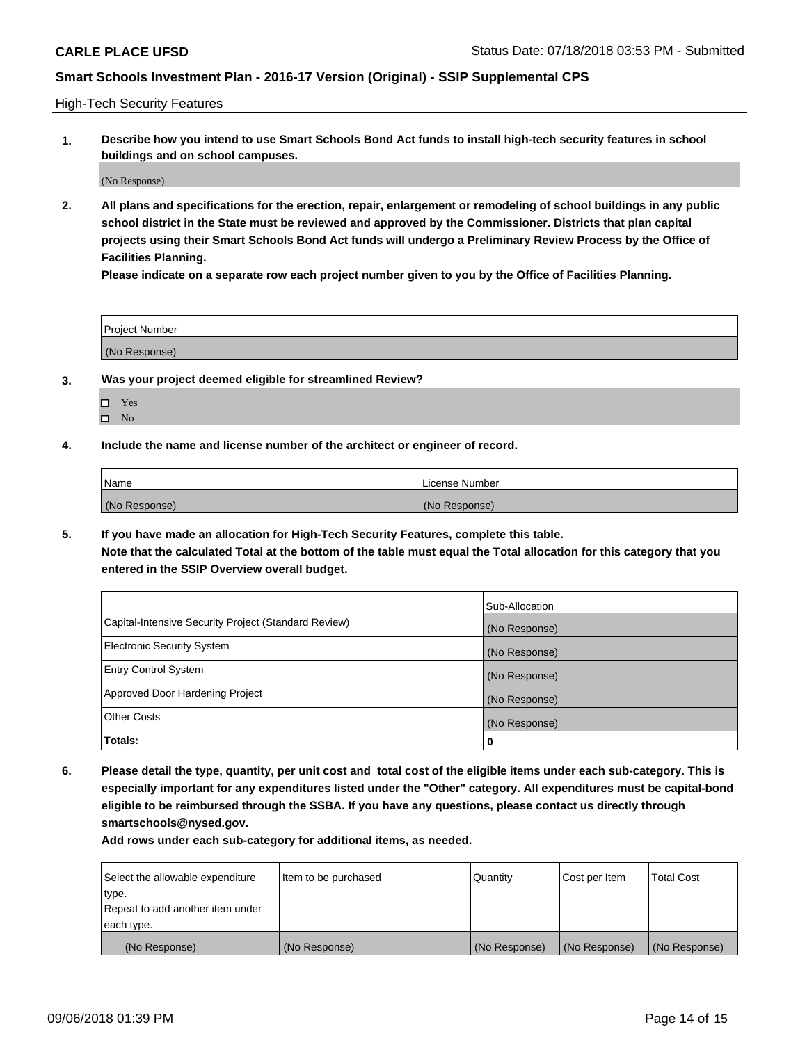High-Tech Security Features

**1. Describe how you intend to use Smart Schools Bond Act funds to install high-tech security features in school buildings and on school campuses.**

(No Response)

**2. All plans and specifications for the erection, repair, enlargement or remodeling of school buildings in any public school district in the State must be reviewed and approved by the Commissioner. Districts that plan capital projects using their Smart Schools Bond Act funds will undergo a Preliminary Review Process by the Office of Facilities Planning.** 

**Please indicate on a separate row each project number given to you by the Office of Facilities Planning.**

| <b>Project Number</b> |  |
|-----------------------|--|
| (No Response)         |  |

- **3. Was your project deemed eligible for streamlined Review?**
	- Yes
	- $\square$  No
- **4. Include the name and license number of the architect or engineer of record.**

| <b>Name</b>   | License Number |
|---------------|----------------|
| (No Response) | (No Response)  |

**5. If you have made an allocation for High-Tech Security Features, complete this table.**

**Note that the calculated Total at the bottom of the table must equal the Total allocation for this category that you entered in the SSIP Overview overall budget.**

|                                                      | Sub-Allocation |
|------------------------------------------------------|----------------|
| Capital-Intensive Security Project (Standard Review) | (No Response)  |
| <b>Electronic Security System</b>                    | (No Response)  |
| <b>Entry Control System</b>                          | (No Response)  |
| Approved Door Hardening Project                      | (No Response)  |
| <b>Other Costs</b>                                   | (No Response)  |
| Totals:                                              | 0              |

**6. Please detail the type, quantity, per unit cost and total cost of the eligible items under each sub-category. This is especially important for any expenditures listed under the "Other" category. All expenditures must be capital-bond eligible to be reimbursed through the SSBA. If you have any questions, please contact us directly through smartschools@nysed.gov.**

| Select the allowable expenditure | Item to be purchased | Quantity      | Cost per Item | <b>Total Cost</b> |
|----------------------------------|----------------------|---------------|---------------|-------------------|
| type.                            |                      |               |               |                   |
| Repeat to add another item under |                      |               |               |                   |
| each type.                       |                      |               |               |                   |
| (No Response)                    | (No Response)        | (No Response) | (No Response) | (No Response)     |